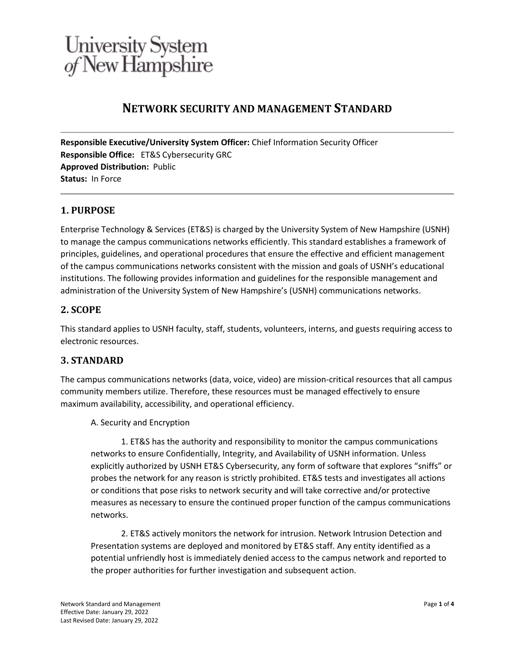### **NETWORK SECURITY AND MANAGEMENT STANDARD**

**Responsible Executive/University System Officer:** Chief Information Security Officer **Responsible Office:** ET&S Cybersecurity GRC **Approved Distribution:** Public **Status:** In Force

#### **1. PURPOSE**

Enterprise Technology & Services (ET&S) is charged by the University System of New Hampshire (USNH) to manage the campus communications networks efficiently. This standard establishes a framework of principles, guidelines, and operational procedures that ensure the effective and efficient management of the campus communications networks consistent with the mission and goals of USNH's educational institutions. The following provides information and guidelines for the responsible management and administration of the University System of New Hampshire's (USNH) communications networks.

#### **2. SCOPE**

This standard applies to USNH faculty, staff, students, volunteers, interns, and guests requiring access to electronic resources.

### **3. STANDARD**

The campus communications networks (data, voice, video) are mission-critical resources that all campus community members utilize. Therefore, these resources must be managed effectively to ensure maximum availability, accessibility, and operational efficiency.

#### A. Security and Encryption

1. ET&S has the authority and responsibility to monitor the campus communications networks to ensure Confidentially, Integrity, and Availability of USNH information. Unless explicitly authorized by USNH ET&S Cybersecurity, any form of software that explores "sniffs" or probes the network for any reason is strictly prohibited. ET&S tests and investigates all actions or conditions that pose risks to network security and will take corrective and/or protective measures as necessary to ensure the continued proper function of the campus communications networks.

2. ET&S actively monitors the network for intrusion. Network Intrusion Detection and Presentation systems are deployed and monitored by ET&S staff. Any entity identified as a potential unfriendly host is immediately denied access to the campus network and reported to the proper authorities for further investigation and subsequent action.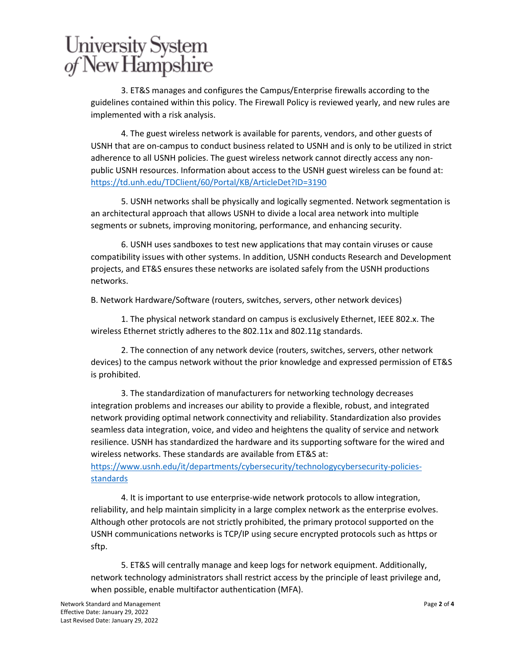3. ET&S manages and configures the Campus/Enterprise firewalls according to the guidelines contained within this policy. The Firewall Policy is reviewed yearly, and new rules are implemented with a risk analysis.

4. The guest wireless network is available for parents, vendors, and other guests of USNH that are on-campus to conduct business related to USNH and is only to be utilized in strict adherence to all USNH policies. The guest wireless network cannot directly access any nonpublic USNH resources. Information about access to the USNH guest wireless can be found at: <https://td.unh.edu/TDClient/60/Portal/KB/ArticleDet?ID=3190>

5. USNH networks shall be physically and logically segmented. Network segmentation is an architectural approach that allows USNH to divide a local area network into multiple segments or subnets, improving monitoring, performance, and enhancing security.

6. USNH uses sandboxes to test new applications that may contain viruses or cause compatibility issues with other systems. In addition, USNH conducts Research and Development projects, and ET&S ensures these networks are isolated safely from the USNH productions networks.

B. Network Hardware/Software (routers, switches, servers, other network devices)

1. The physical network standard on campus is exclusively Ethernet, IEEE 802.x. The wireless Ethernet strictly adheres to the 802.11x and 802.11g standards.

2. The connection of any network device (routers, switches, servers, other network devices) to the campus network without the prior knowledge and expressed permission of ET&S is prohibited.

3. The standardization of manufacturers for networking technology decreases integration problems and increases our ability to provide a flexible, robust, and integrated network providing optimal network connectivity and reliability. Standardization also provides seamless data integration, voice, and video and heightens the quality of service and network resilience. USNH has standardized the hardware and its supporting software for the wired and wireless networks. These standards are available from ET&S at:

[https://www.usnh.edu/it/departments/cybersecurity/technologycybersecurity-policies](https://www.usnh.edu/it/departments/cybersecurity/technologycybersecurity-policies-standards)[standards](https://www.usnh.edu/it/departments/cybersecurity/technologycybersecurity-policies-standards)

4. It is important to use enterprise-wide network protocols to allow integration, reliability, and help maintain simplicity in a large complex network as the enterprise evolves. Although other protocols are not strictly prohibited, the primary protocol supported on the USNH communications networks is TCP/IP using secure encrypted protocols such as https or sftp.

5. ET&S will centrally manage and keep logs for network equipment. Additionally, network technology administrators shall restrict access by the principle of least privilege and, when possible, enable multifactor authentication (MFA).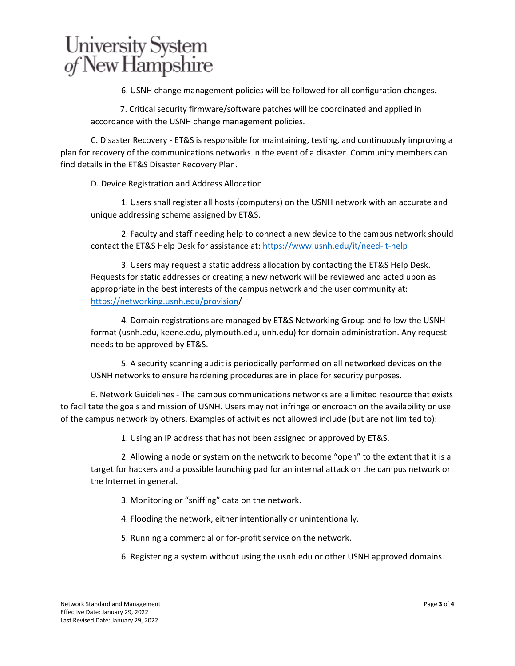6. USNH change management policies will be followed for all configuration changes.

 7. Critical security firmware/software patches will be coordinated and applied in accordance with the USNH change management policies.

C. Disaster Recovery - ET&S is responsible for maintaining, testing, and continuously improving a plan for recovery of the communications networks in the event of a disaster. Community members can find details in the ET&S Disaster Recovery Plan.

D. Device Registration and Address Allocation

1. Users shall register all hosts (computers) on the USNH network with an accurate and unique addressing scheme assigned by ET&S.

2. Faculty and staff needing help to connect a new device to the campus network should contact the ET&S Help Desk for assistance at:<https://www.usnh.edu/it/need-it-help>

3. Users may request a static address allocation by contacting the ET&S Help Desk. Requests for static addresses or creating a new network will be reviewed and acted upon as appropriate in the best interests of the campus network and the user community at: [https://networking.usnh.edu/provision/](https://networking.usnh.edu/provision)

4. Domain registrations are managed by ET&S Networking Group and follow the USNH format (usnh.edu, keene.edu, plymouth.edu, unh.edu) for domain administration. Any request needs to be approved by ET&S.

5. A security scanning audit is periodically performed on all networked devices on the USNH networks to ensure hardening procedures are in place for security purposes.

E. Network Guidelines - The campus communications networks are a limited resource that exists to facilitate the goals and mission of USNH. Users may not infringe or encroach on the availability or use of the campus network by others. Examples of activities not allowed include (but are not limited to):

1. Using an IP address that has not been assigned or approved by ET&S.

2. Allowing a node or system on the network to become "open" to the extent that it is a target for hackers and a possible launching pad for an internal attack on the campus network or the Internet in general.

3. Monitoring or "sniffing" data on the network.

4. Flooding the network, either intentionally or unintentionally.

5. Running a commercial or for-profit service on the network.

6. Registering a system without using the usnh.edu or other USNH approved domains.